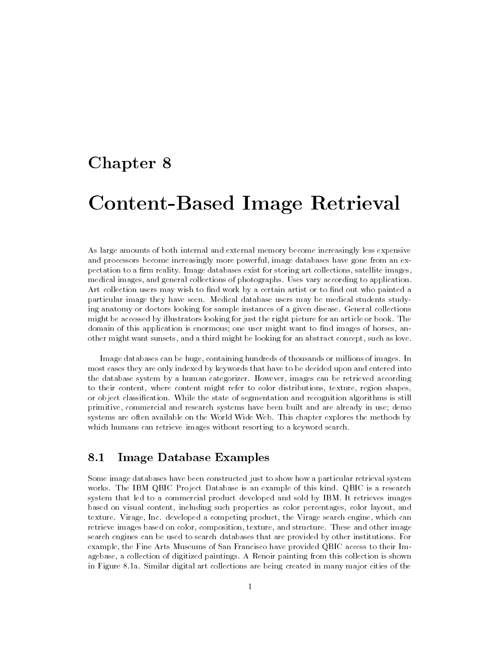## Chapter 8

# Content-Based Image Retrieval

As large amounts of both internal and external memory become increasingly less expensive and processors become increasingly more powerful, image databases have gone from an expectation to a firm reality. Image databases exist for storing art collections, satellite images, medical images, and general collections of photographs. Uses vary according to application. Art collection users may wish to find work by a certain artist or to find out who painted a particular image they have seen. Medical database users may be medical students studying anatomy or doctors looking for sample instances of a given disease. General collections might be accessed by illustrators looking for just the right picture for an article or book. The domain of this application is enormous; one user might want to find images of horses, another might want sunsets, and a third might be looking for an abstract concept, such as love.

Image databases can be huge, containing hundreds of thousands or millions of images. In most cases they are only indexed by keywords that have to be decided upon and entered into the database system byahuman categorizer. However, images can be retrieved according to their content, where content might refer to color distributions, texture, region shapes, or object classication. While the state of segmentation and recognition algorithms is still primitive, commercial and research systems have been built and are already in use; demo systems are often available on the World Wide Web. This chapter explores the methods by which humans can retrieve images without resorting to a keyword search.

### 8.1Image Database Examples

Some image databases have been constructed just to show how a particular retrieval system works. The IBM QBIC Project Database is an example of this kind. QBIC is a research system that led to a commercial product developed and sold by IBM. It retrieves images based on visual content, including such properties as color percentages, color layout, and texture. Virage, Inc. developed a competing product, the Virage search engine, which can retrieve images based on color, composition, texture, and structure. These and other image search engines can be used to search databases that are provided by other institutions. For example, the Fine Arts Museums of San Francisco have provided QBIC access to their Imagebase, a collection of digitized paintings. A Renoir painting from this collection is shown in Figure 8.1a. Similar digital art collections are being created in many major cities of the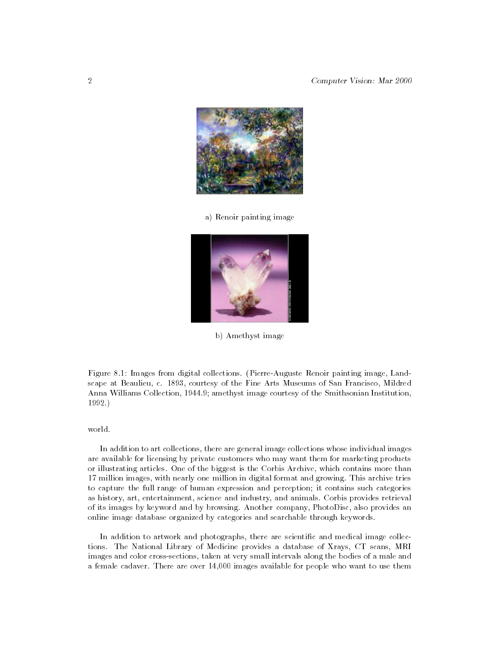

a) Renoir painting image



b) Amethyst image

Figure 8.1: Images from digital collections. (Pierre-Auguste Renoir painting image, Landscape at Beaulieu, c. 1893, courtesy of the Fine Arts Museums of San Francisco, Mildred Anna Williams Collection, 1944.9; amethyst image courtesy of the Smithsonian Institution, 1992.)

In addition to art collections, there are general image collections whose individual images are available for licensing by private customers who may want them for marketing products or illustrating articles. One of the biggest is the Corbis Archive, which contains more than 17 million images, with nearly one million in digital format and growing. This archive tries to capture the full range of human expression and perception; it contains such categories as history, art, entertainment, science and industry, and animals. Corbis provides retrieval of its images by keyword and by browsing. Another company, PhotoDisc, also provides an online image database organized by categories and searchable through keywords.

In addition to artwork and photographs, there are scientific and medical image collections. The National Library of Medicine provides a database of Xrays, CT scans, MRI images and color cross-sections, taken at very small intervals along the bodies of a male and a female cadaver. There are over 14,000 images available for people who want to use them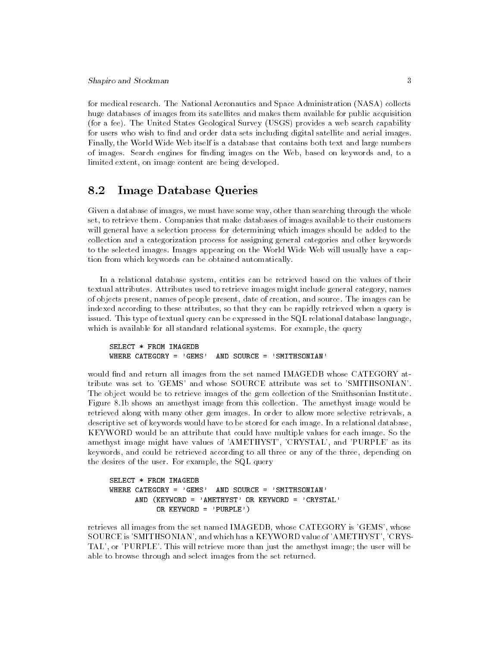for medical research. The National Aeronautics and Space Administration (NASA) collects huge databases of images from its satellites and makes them available for public acquisition (for a fee). The United States Geological Survey (USGS) provides a web search capability for users who wish to find and order data sets including digital satellite and aerial images. Finally, the World Wide Web itself is a database that contains both text and large numbers of images. Search engines for finding images on the Web, based on keywords and, to a limited extent, on image content are being developed.

### 8.2 Image Database Queries

Given a database of images, we must have some way, other than searching through the whole set, to retrieve them. Companies that make databases of images available to their customers will general have a selection process for determining which images should be added to the collection and a categorization process for assigning general categories and other keywords to the selected images. Images appearing on the World Wide Web will usually have a caption from which keywords can be obtained automatically.

In a relational database system, entities can be retrieved based on the values of their textual attributes. Attributes used to retrieve images might include general category, names of objects present, names of people present, date of creation, and source. The images can be indexed according to these attributes, so that they can be rapidly retrieved when a query is issued. This type of textual query can be expressed in the SQL relational database language, which is available for all standard relational systems. For example, the query

SELECT \* FROM IMAGEDB WHERE CATEGORY =  $'$ GEMS' AND SOURCE =  $'$ SMITHSONIAN'

would find and return all images from the set named IMAGEDB whose CATEGORY attribute was set to 'GEMS' and whose SOURCE attribute was set to 'SMITHSONIAN'. The object would be to retrieve images of the gem collection of the Smithsonian Institute. Figure 8.1b shows an amethyst image from this collection. The amethyst image would be retrieved along with many other gem images. In order to allow more selective retrievals, a descriptive set of keywords would have to be stored for each image. In a relational database, KEYWORD would be an attribute that could have multiple values for each image. So the amethyst image might have values of 'AMETHYST', 'CRYSTAL', and 'PURPLE' as its keywords, and could be retrieved according to all three or any of the three, depending on the desires of the user. For example, the SQL query

```
SELECT * FROM IMAGEDB
WHERE CATEGORY = 'GEMS' AND SOURCE = 'SMITHSONIAN'
      AND (KEYWORD = 'AMETHYST' OR KEYWORD = 'CRYSTAL'
           OR KEYWORD = 'PURPLE')
```
retrieves all images from the set named IMAGEDB, whose CATEGORY is 'GEMS', whose SOURCE is 'SMITHSONIAN', and which has a KEYWORD value of 'AMETHYST', 'CRYS-TAL', or 'PURPLE'. This will retrieve more than just the amethyst image; the user will be able to browse through and select images from the set returned.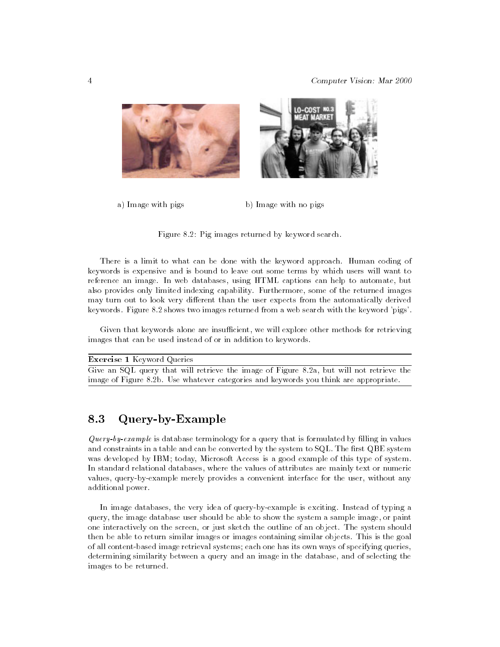



a) Image with pigs b) Image with no pigs

Figure 8.2: Pig images returned by keyword search.

There is a limit to what can be done with the keyword approach. Human coding of keywords is expensive and is bound to leave out some terms by which users will want to reference an image. In web databases, using HTML captions can help to automate, but also provides only limited indexing capability. Furthermore, some of the returned images may turn out to look very different than the user expects from the automatically derived keywords. Figure 8.2 shows two images returned from a web search with the keyword 'pigs'.

Given that keywords alone are insufficient, we will explore other methods for retrieving images that can be used instead of or in addition to keywords.

| <b>Exercise 1</b> Keyword Queries                                                        |
|------------------------------------------------------------------------------------------|
| Give an SQL query that will retrieve the image of Figure 8.2a, but will not retrieve the |
| image of Figure 8.2b. Use whatever categories and keywords you think are appropriate.    |

### 8.3Query-by-Example

 $Query-by-example$  is database terminology for a query that is formulated by filling in values and constraints in a table and can be converted by the system to SQL. The first QBE system was developed by IBM; today, Microsoft Access is a good example of this type of system. In standard relational databases, where the values of attributes are mainly text or numeric values, query-by-example merely provides a convenient interface for the user, without any additional power.

In image databases, the very idea of query-by-example is exciting. Instead of typing a query, the image database user should be able to show the system a sample image, or paint one interactively on the screen, or just sketch the outline of an object. The system should then be able to return similar images or images containing similar objects. This is the goal of all content-based image retrieval systems; each one has its own ways of specifying queries, determining similarity between a query and an image in the database, and of selecting the images to be returned.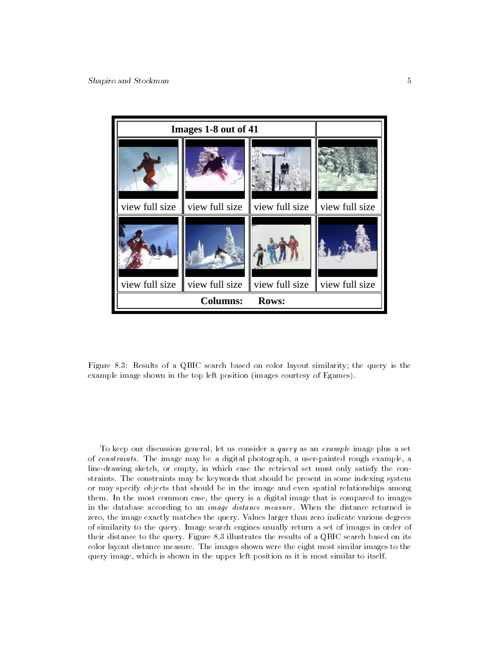

Figure 8.3: Results of a QBIC search based on color layout similarity; the query is the example image shown in the top left position (images courtesy of Egames).

To keep our discussion general, let us consider a query as an example image plus a set of constraints. The image may be a digital photograph, a user-painted rough example, a line-drawing sketch, or empty, in which case the retrieval set must only satisfy the constraints. The constraints may be keywords that should be present in some indexing system or may specify objects that should be in the image and even spatial relationships among them. In the most common case, the query is a digital image that is compared to images in the database according to an image distance measure. When the distance returned is zero, the image exactly matches the query. Values larger than zero indicate various degrees of similarity to the query. Image search engines usually return a set of images in order of their distance to the query. Figure 8.3 illustrates the results of a QBIC search based on its color layout distance measure. The images shown were the eight most similar images to the query image, which is shown in the upper left position as it is most similar to itself.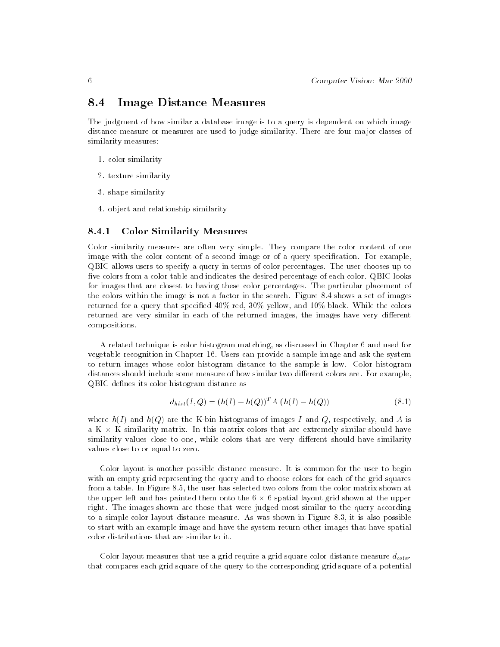### 8.4Image Distance Measures

The judgment of how similar a database image is to a query is dependent on which image distance measure or measures are used to judge similarity. There are four major classes of similarity measures:

- 1. color similarity
- 2. texture similarity
- 3. shape similarity
- 4. object and relationship similarity

#### 8.4.1 Color Similarity Measures

Color similarity measures are often very simple. They compare the color content of one image with the color content of a second image or of a query specication. For example, QBIC allows users to specify a query in terms of color percentages. The user chooses up to five colors from a color table and indicates the desired percentage of each color. QBIC looks for images that are closest to having these color percentages. The particular placement of the colors within the image is not a factor in the search. Figure 8.4 shows a set of images returned for a query that specied 40% red, 30% yellow, and 10% black. While the colors returned are very similar in each of the returned images, the images have very different compositions.

A related technique is color histogram matching, as discussed in Chapter 6 and used for vegetable recognition in Chapter 16. Users can provide a sample image and ask the system to return images whose color histogram distance to the sample is low. Color histogram distances should include some measure of how similar two different colors are. For example, QBIC defines its color histogram distance as

$$
d_{hist}(I,Q) = (h(I) - h(Q))^T A (h(I) - h(Q))
$$
\n(8.1)

where  $h(I)$  and  $h(Q)$  are the K-bin histograms of images I and Q, respectively, and A is a K K K similarity matrix. In this matrix colors that should have extremely similarly have not matrix similarity values close to one, while colors that are very different should have similarity values close to or equal to zero.

Color layout is another possible distance measure. It is common for the user to begin with an empty grid representing the query and to choose colors for each of the grid squares from a table. In Figure 8.5, the user has selected two colors from the color matrix shown at the upper left and has painted them onto the 6 6 spatial layout grid shown at the upper -right. The images shown are those that were judged most similar to the query according to a simple color layout distance measure. As was shown in Figure 8.3, it is also possible to start with an example image and have the system return other images that have spatial color distributions that are similar to it.

Color rayout measures that use a grid require a grid square color distance measure  $u_{color}$ that compares each grid square of the query to the corresponding grid square of a potential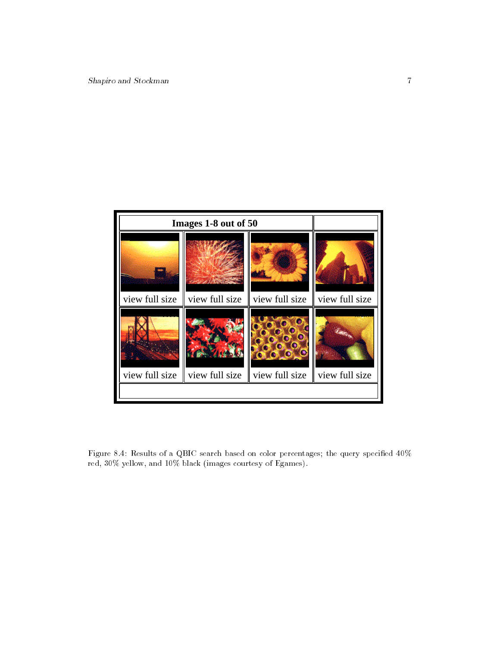

Figure 8.4: Results of a QBIC search based on color percentages; the query specified  $40\%$ red, 30% yellow, and 10% black (images courtesy of Egames).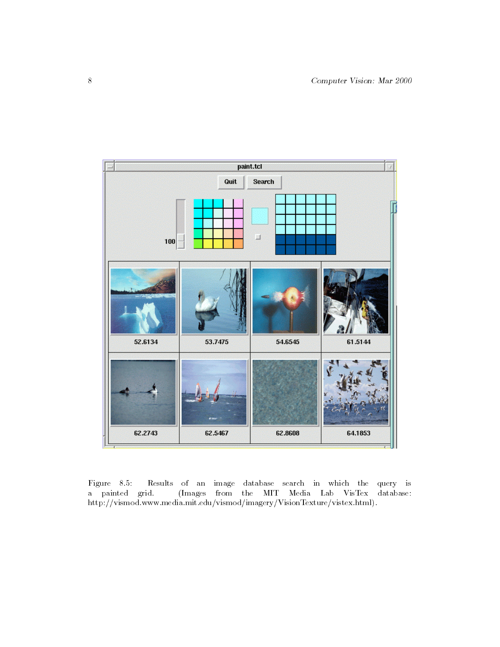

Figure 8.5: Results of an image database search in which the query is a painted grid. (Images from the MIT Media Lab VisTex database: http://vismod.www.media.mit.edu/vismod/imagery/VisionTexture/vistex.html).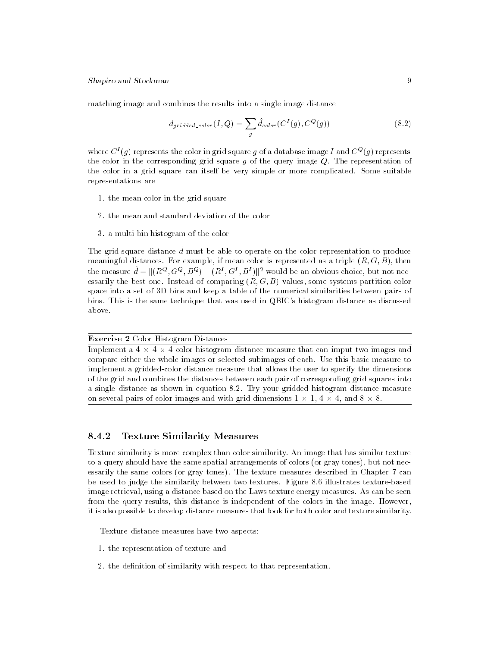matching image and combines the results into a single image distance

$$
d_{gridded\_color}(I,Q) = \sum_{g} \hat{d}_{color}(C^{I}(g), C^{Q}(g))
$$
\n(8.2)

where  $C^*(q)$  represents the color in grid square  $q$  of a database image I and  $C^*(q)$  represents the color in the corresponding grid square  $g$  of the query image  $Q$ . The representation of the color in a grid square can itself be very simple or more complicated. Some suitable representations are

- 1. the mean color in the grid square
- 2. the mean and standard deviation of the color
- 3. a multi-bin histogram of the color

The grid square distance  $\hat{d}$  must be able to operate on the color representation to produce meaningful distances. For example, if mean color is represented as a triple  $(R, G, B)$ , then the measure  $d = ||(R^*, G^*, B^*) - (R^*, G^*, B^*)||^2$  would be an obvious choice, but not nec-<br> $\ddot{R}$ essarily the best one. Instead of comparing  $(R, G, B)$  values, some systems partition color space into a set of 3D bins and keep a table of the numerical similarities between pairs of bins. This is the same technique that was used in QBIC's histogram distance as discussed above.

### Exercise 2 Color Histogram Distances

Implementation distance measure that can imput two images and imput two images and imput two images and images and images and images and images and images and images and images and images and images and images and images --compare either the whole images or selected subimages of each. Use this basic measure to implement a gridded-color distance measure that allows the user to specify the dimensions of the grid and combines the distances between each pair of corresponding grid squares into a single distance as shown in equation 8.2. Try your gridded histogram distance measure on several pairs of color images and with grid dimensions 1 1, 4 4, and 8 8.

#### 8.4.2Texture Similarity Measures

Texture similarity is more complex than color similarity. An image that has similar texture to a query should have the same spatial arrangements of colors (or gray tones), but not necessarily the same colors (or gray tones). The texture measures described in Chapter 7 can be used to judge the similarity between two textures. Figure 8.6 illustrates texture-based image retrieval, using a distance based on the Laws texture energy measures. As can be seen from the query results, this distance is independent of the colors in the image. However, it is also possible to develop distance measures that look for both color and texture similarity.

Texture distance measures have two aspects:

- 1. the representation of texture and
- 2. the definition of similarity with respect to that representation.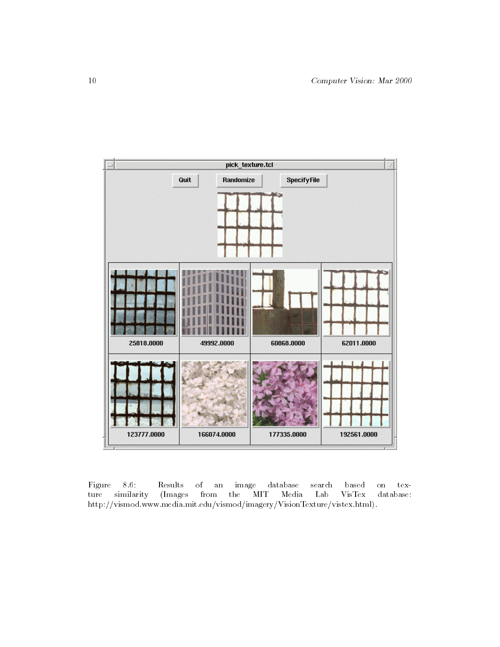

Figure 8.6: Results of an image database search based on texture similarity (Images from the MIT Media Lab VisTex database: http://vismod.www.media.mit.edu/vismod/imagery/VisionTexture/vistex.html).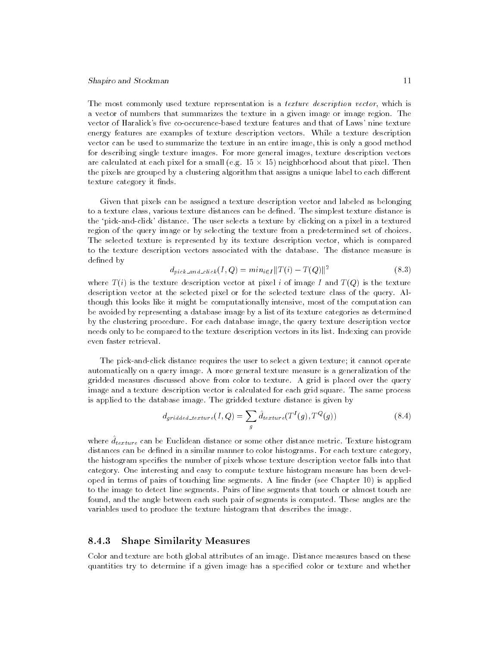### Shapiro and Stockman 11

The most commonly used texture representation is a texture description vector, which is a vector of numbers that summarizes the texture in a given image or image region. The vector of Haralick's five co-occurence-based texture features and that of Laws' nine texture energy features are examples of texture description vectors. While a texture description vector can be used to summarize the texture in an entire image, this is only a good method for describing single texture images. For more general images, texture description vectors are calculated at each pixel for a small (e.g. 15  $\mu$  15) neighborhood about that pixel. Then  $p$ the pixels are grouped by a clustering algorithm that assigns a unique label to each different  $\hspace{0.1mm}$ texture category it finds.

Given that pixels can be assigned a texture description vector and labeled as belonging to a texture class, various texture distances can be dened. The simplest texture distance is the `pick-and-click' distance. The user selects a texture by clicking on a pixel in a textured region of the query image or by selecting the texture from a predetermined set of choices. The selected texture is represented by its texture description vector, which is compared to the texture description vectors associated with the database. The distance measure is defined by

$$
d_{pick\_and\_click}(I, Q) = min_{i \in I} ||T(i) - T(Q)||^2
$$
\n(8.3)

where  $T(i)$  is the texture description vector at pixel i of image I and  $T(Q)$  is the texture description vector at the selected pixel or for the selected texture class of the query. Although this looks like it might be computationally intensive, most of the computation can be avoided by representing a database image by a list of its texture categories as determined by the clustering procedure. For each database image, the query texture description vector needs only to be compared to the texture description vectors in its list. Indexing can provide even faster retrieval.

The pick-and-click distance requires the user to select a given texture; it cannot operate automatically on a query image. A more general texture measure is a generalization of the gridded measures discussed above from color to texture. A grid is placed over the query image and a texture description vector is calculated for each grid square. The same process is applied to the database image. The gridded texture distance is given by

$$
d_{gridded\_texture}(I,Q) = \sum_{g} \hat{d}_{texture}(T^{I}(g), T^{Q}(g))
$$
\n(8.4)

where  $a_{text}$  can be Euclidean distance or some other distance metric. Texture mstogram distances can be defined in a similar manner to color histograms. For each texture category, the histogram species the number of pixels whose texture description vector falls into that category. One interesting and easy to compute texture histogram measure has been developed in terms of pairs of touching line segments. A line finder (see Chapter 10) is applied to the image to detect line segments. Pairs of line segments that touch or almost touch are found, and the angle between each such pair of segments is computed. These angles are the variables used to produce the texture histogram that describes the image.

#### 8.4.3Shape Similarity Measures

Color and texture are both global attributes of an image. Distance measures based on these quantities try to determine if a given image has a specied color or texture and whether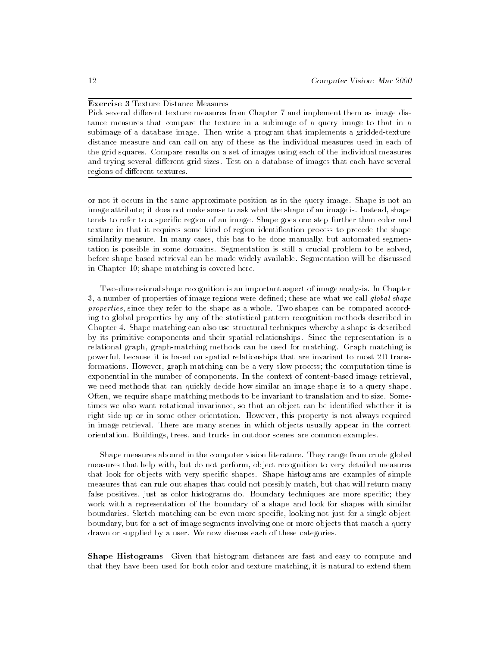### Exercise 3 Texture Distance Measures

Pick several different texture measures from Chapter 7 and implement them as image distance measures that compare the texture in a subimage of a query image to that in a subimage of a database image. Then write a program that implements a gridded-texture distance measure and can call on any of these as the individual measures used in each of the grid squares. Compare results on a set of images using each of the individual measures and trying several different grid sizes. Test on a database of images that each have several regions of different textures.

or not it occurs in the same approximate position as in the query image. Shape is not an image attribute; it does not make sense to ask what the shape of an image is. Instead, shape tends to refer to a specic region of an image. Shape goes one step further than color and texture in that it requires some kind of region identication process to precede the shape similarity measure. In many cases, this has to be done manually, but automated segmentation is possible in some domains. Segmentation is still a crucial problem to be solved, before shape-based retrieval can be made widely available. Segmentation will be discussed in Chapter 10; shape matching is covered here.

Two-dimensional shape recognition is an important aspect of image analysis. In Chapter 3, a number of properties of image regions were defined; these are what we call *qlobal shape* properties, since they refer to the shape as a whole. Two shapes can be compared according to global properties by any of the statistical pattern recognition methods described in Chapter 4. Shape matching can also use structural techniques whereby a shape is described by its primitive components and their spatial relationships. Since the representation is a relational graph, graph-matching methods can be used for matching. Graph matching is powerful, because it is based on spatial relationships that are invariant to most 2D transformations. However, graph matching can be a very slow process; the computation time is exponential in the number of components. In the context of content-based image retrieval, we need methods that can quickly decide how similar an image shape is to a query shape. Often, we require shape matching methods to be invariant to translation and to size. Sometimes we also want rotational invariance, so that an object can be identied whether it is right-side-up or in some other orientation. However, this property is not always required in image retrieval. There are many scenes in which objects usually appear in the correct orientation. Buildings, trees, and trucks in outdoor scenes are common examples.

Shape measures abound in the computer vision literature. They range from crude global measures that help with, but do not perform, object recognition to very detailed measures that look for objects with very specic shapes. Shape histograms are examples of simple measures that can rule out shapes that could not possibly match, but that will return many false positives, just as color histograms do. Boundary techniques are more specific; they work with a representation of the boundary of a shape and look for shapes with similar boundaries. Sketch matching can be even more specic, looking not just for a single object boundary, but for a set of image segments involving one or more objects that match a query drawn or supplied by a user. We now discuss each of these categories.

Shape Histograms Given that histogram distances are fast and easy to compute and that they have been used for both color and texture matching, it is natural to extend them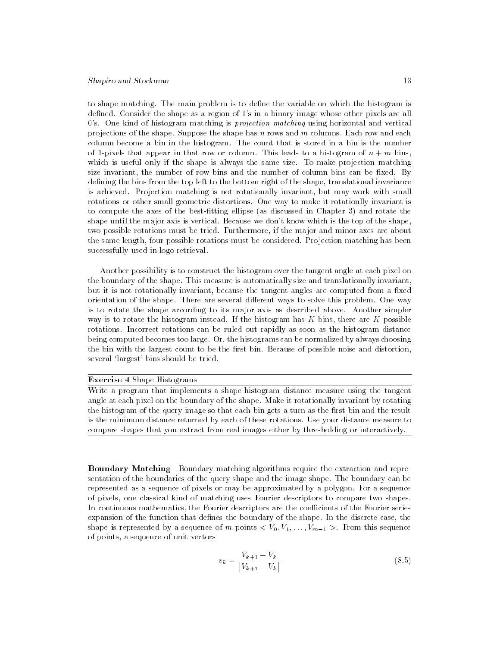### Shapiro and Stockman 13

to shape matching. The main problem is to define the variable on which the histogram is defined. Consider the shape as a region of 1's in a binary image whose other pixels are all  $0$ 's. One kind of histogram matching is *projection matching* using horizontal and vertical projections of the shape. Suppose the shape has  $n$  rows and  $m$  columns. Each row and each column become a bin in the histogram. The count that is stored in a bin is the number of 1-pixels that appear in that row or column. This leads to a histogram of  $n + m$  bins, which is useful only if the shape is always the same size. To make projection matching size invariant, the number of row bins and the number of column bins can be fixed. By defining the bins from the top left to the bottom right of the shape, translational invariance is achieved. Projection matching is not rotationally invariant, but may work with small rotations or other small geometric distortions. One way to make it rotationlly invariant is to compute the axes of the best-fitting ellipse (as discussed in Chapter 3) and rotate the shape until the major axis is vertical. Because we don't know which is the top of the shape, two possible rotations must be tried. Furthermore, if the major and minor axes are about the same length, four possible rotations must be considered. Projection matching has been successfully used in logo retrieval.

Another possibility is to construct the histogram over the tangent angle at each pixel on the boundary of the shape. This measure is automatically size and translationally invariant, but it is not rotationally invariant, because the tangent angles are computed from a fixed orientation of the shape. There are several different ways to solve this problem. One way is to rotate the shape according to its major axis as described above. Another simpler way is to rotate the histogram instead. If the histogram has  $K$  bins, there are  $K$  possible rotations. Incorrect rotations can be ruled out rapidly as soon as the histogram distance being computed becomes too large. Or, the histograms can be normalized by always choosing the bin with the largest count to be the first bin. Because of possible noise and distortion, several 'largest' bins should be tried.

### Exercise 4 Shape Histograms

Write a program that implements a shape-histogram distance measure using the tangent angle at each pixel on the boundary of the shape. Make it rotationally invariant by rotating the histogram of the query image so that each bin gets a turn as the first bin and the result is the minimum distance returned by each of these rotations. Use your distance measure to compare shapes that you extract from real images either by thresholding or interactively.

Boundary Matching Boundary matching algorithms require the extraction and representation of the boundaries of the query shape and the image shape. The boundary can be represented as a sequence of pixels or may be approximated by a polygon. For a sequence of pixels, one classical kind of matching uses Fourier descriptors to compare two shapes. In continuous mathematics, the Fourier descriptors are the coefficients of the Fourier series expansion of the function that defines the boundary of the shape. In the discrete case, the shape is represented by a sequence of m points  $\langle V_0, V_1, \ldots, V_{m-1} \rangle$ . From this sequence of points, a sequence of unit vectors

$$
v_k = \frac{V_{k+1} - V_k}{|V_{k+1} - V_k|}
$$
\n(8.5)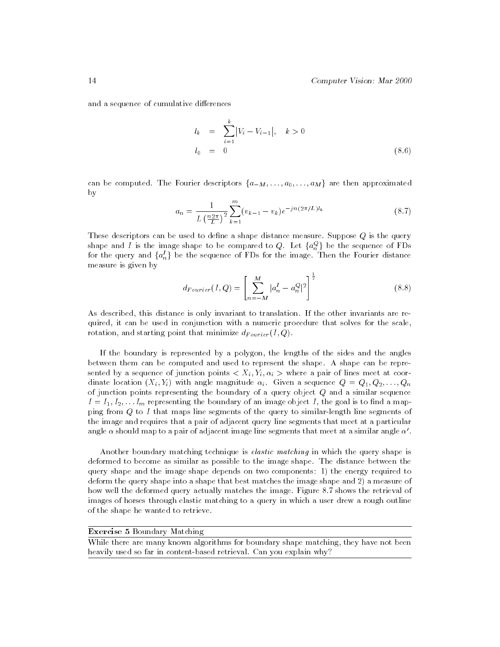and a sequence of cumulative differences

$$
l_k = \sum_{i=1}^k |V_i - V_{i-1}|, \quad k > 0
$$
  

$$
l_0 = 0
$$
 (8.6)

can be computed. The Fourier descriptors  $\{a_{-M}, \ldots, a_0, \ldots, a_M\}$  are then approximated by

$$
a_n = \frac{1}{L\left(\frac{n2\pi}{L}\right)^2} \sum_{k=1}^m (v_{k-1} - v_k) e^{-jn(2\pi/L)l_k}
$$
\n(8.7)

These descriptors can be used to define a shape distance measure. Suppose  $Q$  is the query shape and I is the image shape to be compared to  $Q$ . Let  $\{a_n^{\omega}\}$  be for the query and  $\{a_n^I\}$  be the sequence of FDs for the image. Then the Fourier distance measure is given by

$$
d_{Fourier}(I, Q) = \left[ \sum_{n=-M}^{M} |a_n^I - a_n^Q|^2 \right]^{\frac{1}{2}}
$$
(8.8)

As described, this distance is only invariant to translation. If the other invariants are required, it can be used in conjunction with a numeric procedure that solves for the scale, rotation, and starting point that minimize  $a_{Fourier}(1, \varphi)$ .

If the boundary is represented by a polygon, the lengths of the sides and the angles between them can be computed and used to represent the shape. A shape can be represented by a sequence of junction points  $\lambda$  if  $\lambda$  ,  $\lambda$  , where a pair of lines meet at coordinate location  $(X_i, Y_i)$  with angle magnitude  $\alpha_i$ . Given a sequence  $Q = Q_1, Q_2, \ldots, Q_n$ of junction points representing the boundary of a query object Q and a similar sequence  $I = I_1, I_2, \ldots I_m$  representing the boundary of an image object I, the goal is to find a mapping from Q to I that maps line segments of the query to similar-length line segments of the image and requires that a pair of adjacent query line segments that meet at a particular angle  $\alpha$  should map to a pair of adjacent image line segments that meet at a similar angle  $\alpha'$ .

Another boundary matching technique is elastic matching in which the query shape is deformed to become as similar as possible to the image shape. The distance between the query shape and the image shape depends on two components: 1) the energy required to deform the query shape into a shape that best matches the image shape and 2) a measure of how well the deformed query actually matches the image. Figure 8.7 shows the retrieval of images of horses through elastic matching to a query in which a user drew a rough outline of the shape he wanted to retrieve.

Exercise 5 Boundary Matching

While there are many known algorithms for boundary shape matching, they have not been heavily used so far in content-based retrieval. Can you explain why?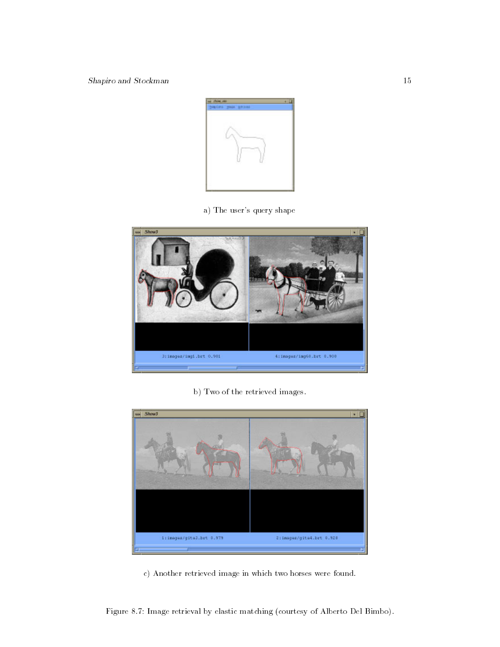

a) The user's query shape



b) Two of the retrieved images.



c) Another retrieved image in which two horses were found.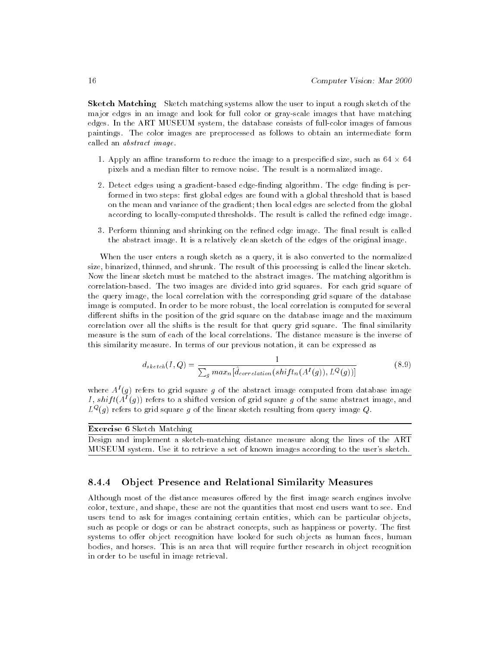Sketch Matching Sketch matching systems allow the user to input a rough sketch of the major edges in an image and look for full color or gray-scale images that have matching edges. In the ART MUSEUM system, the database consists of full-color images of famous paintings. The color images are preprocessed as follows to obtain an intermediate form called an abstract image.

- 1. Apply an ane transform to reduce the image to a prespecied size, such as 64 64 pixels and a median filter to remove noise. The result is a normalized image.
- 2. Detect edges using a gradient-based edge-finding algorithm. The edge finding is performed in two steps: first global edges are found with a global threshold that is based on the mean and variance of the gradient; then local edges are selected from the global according to locally-computed thresholds. The result is called the refined edge image.
- 3. Perform thinning and shrinking on the refined edge image. The final result is called the abstract image. It is a relatively clean sketch of the edges of the original image.

When the user enters a rough sketch as a query, it is also converted to the normalized size, binarized, thinned, and shrunk. The result of this processing is called the linear sketch. Now the linear sketch must be matched to the abstract images. The matching algorithm is correlation-based. The two images are divided into grid squares. For each grid square of the query image, the local correlation with the corresponding grid square of the database image is computed. In order to be more robust, the local correlation is computed for several different shifts in the position of the grid square on the database image and the maximum correlation over all the shifts is the result for that query grid square. The final similarity measure is the sum of each of the local correlations. The distance measure is the inverse of this similarity measure. In terms of our previous notation, it can be expressed as

$$
d_{sketch}(I, Q) = \frac{1}{\sum_{g} max_{n} [\hat{d}_{correlation}(shift_{n}(A^{I}(g)), L^{Q}(g))]}
$$
(8.9)

where  $A^{I}(g)$  refers to grid square g of the abstract image computed from database image I, shift( $A^{I}(g)$ ) refers to a shifted version of grid square g of the same abstract image, and  $L^\infty(q)$  refers to grid square  $q$  of the linear sketch resulting from query image  $Q$ .

Exercise 6 Sketch Matching

Design and implement a sketch-matching distance measure along the lines of the ART MUSEUM system. Use it to retrieve a set of known images according to the user's sketch.

#### 8.4.4Ob ject Presence and Relational Similarity Measures

Although most of the distance measures offered by the first image search engines involve color, texture, and shape, these are not the quantities that most end users want to see. End users tend to ask for images containing certain entities, which can be particular objects, such as people or dogs or can be abstract concepts, such as happiness or poverty. The first systems to offer object recognition have looked for such objects as human faces, human bodies, and horses. This is an area that will require further research in object recognition in order to be useful in image retrieval.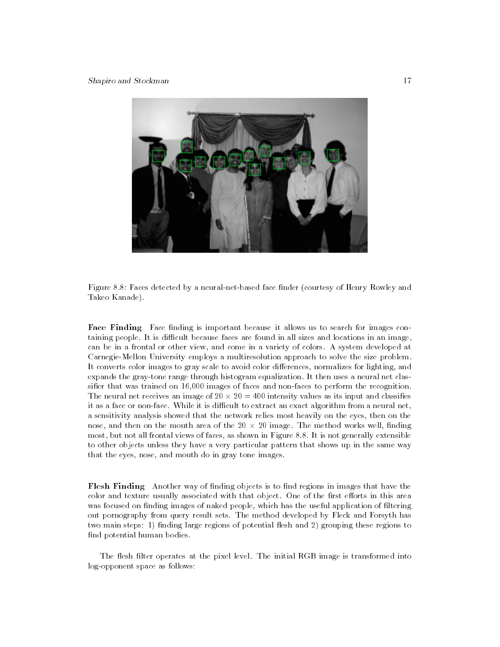

Figure 8.8: Faces detected by a neural-net-based face finder (courtesy of Henry Rowley and Takeo Kanade).

Face Finding Face nding is important because it allows us to search for images containing people. It is difficult because faces are found in all sizes and locations in an image, can be in a frontal or other view, and come in a variety of colors. A system developed at Carnegie-Mellon University employs a multiresolution approach to solve the size problem. It converts color images to gray scale to avoid color differences, normalizes for lighting, and expands the gray-tone range through histogram equalization. It then uses a neural net classifier that was trained on 16,000 images of faces and non-faces to perform the recognition. The neural net receives an image of 20  $\pm$  400 intensity values as its input and classical neural classical neural neural neural neural neural neural neural neural neural neural neural neural neural neural neural neural it as a face or non-face. While it is difficult to extract an exact algorithm from a neural net,  $\;$ a sensitivity analysis showed that the network relies most heavily on the eyes, then on the nose, and then on the mouth area of the 20 20 image. The method works well, nding -most, but not all frontal views of faces, as shown in Figure 8.8. It is not generally extensible to other objects unless they have a very particular pattern that shows up in the same way that the eyes, nose, and mouth do in gray tone images.

Flesh Finding Another way of nding objects is to nd regions in images that have the color and texture usually associated with that object. One of the first efforts in this area was focused on finding images of naked people, which has the useful application of filtering out pornography from query result sets. The method developed by Fleck and Forsyth has two main steps: 1) finding large regions of potential flesh and 2) grouping these regions to find potential human bodies.

The flesh filter operates at the pixel level. The initial RGB image is transformed into log-opponent space as follows: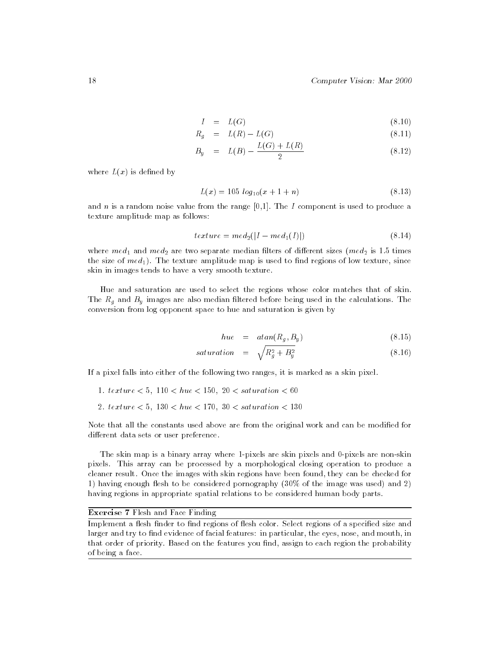$$
I = L(G) \tag{8.10}
$$

$$
R_g = L(R) - L(G) \tag{8.11}
$$

$$
B_y = L(B) - \frac{L(G) + L(R)}{2} \tag{8.12}
$$

where  $L(x)$  is defined by

$$
L(x) = 105 \log_{10}(x + 1 + n) \tag{8.13}
$$

and n is a random noise value from the range  $[0,1]$ . The I component is used to produce a texture amplitude map as follows:

$$
texture = med_2(|I - med_1(I)|)
$$
\n(8.14)

where  $med_1$  and  $med_2$  are two separate median filters of different sizes (me $d_2$  is 1.5 times the size of  $med_1$ ). The texture amplitude map is used to find regions of low texture, since skin in images tends to have a very smooth texture.

Hue and saturation are used to select the regions whose color matches that of skin.  $T$  images are also median ltered before being used in the calculations. The calculations in the calculations. The calculations in the calculations in the calculations. The calculations in the calculations in the calculat conversion from log opponent space to hue and saturation is given by

$$
hue = \tatan(R_g, B_y) \t(8.15)
$$

$$
saturation = \sqrt{R_g^2 + B_y^2} \tag{8.16}
$$

If a pixel falls into either of the following two ranges, it is marked as a skin pixel.

- 1.  $text{ } t = 5, 110 < h = 150, 20 < saturation < 60$
- 2. texture  $\lt 5$ ,  $130 \lt hue \lt 170$ ,  $30 \lt s$  aturation  $\lt 130$

Note that all the constants used above are from the original work and can be modified for different data sets or user preference.

The skin map is a binary array where 1-pixels are skin pixels and 0-pixels are non-skin pixels. This array can be processed by a morphological closing operation to produce a cleaner result. Once the images with skin regions have been found, they can be checked for 1) having enough flesh to be considered pornography (30% of the image was used) and 2) having regions in appropriate spatial relations to be considered human body parts.

### Exercise 7 Flesh and Face Finding

Implement a flesh finder to find regions of flesh color. Select regions of a specified size and larger and try to find evidence of facial features: in particular, the eyes, nose, and mouth, in that order of priority. Based on the features you find, assign to each region the probability of being a face.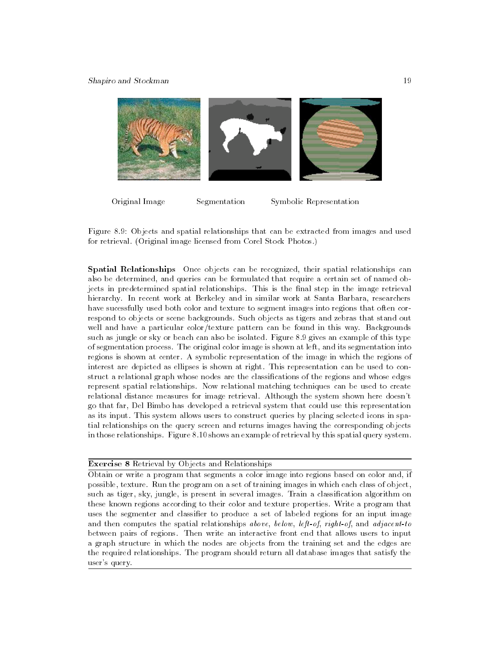

Original Image Segmentation Symbolic Representation

Figure 8.9: Objects and spatial relationships that can be extracted from images and used for retrieval. (Original image licensed from Corel Stock Photos.)

Spatial Relationships Once objects can be recognized, their spatial relationships can also be determined, and queries can be formulated that require a certain set of named objects in predetermined spatial relationships. This is the final step in the image retrieval hierarchy. In recent work at Berkeley and in similar work at Santa Barbara, researchers have sucessfully used both color and texture to segment images into regions that often correspond to objects or scene backgrounds. Such objects as tigers and zebras that stand out well and have a particular color/texture pattern can be found in this way. Backgrounds such as jungle or sky or beach can also be isolated. Figure 8.9 gives an example of this type of segmentation process. The original color image is shown at left, and its segmentation into regions is shown at center. A symbolic representation of the image in which the regions of interest are depicted as ellipses is shown at right. This representation can be used to construct a relational graph whose nodes are the classifications of the regions and whose edges represent spatial relationships. Now relational matching techniques can be used to create relational distance measures for image retrieval. Although the system shown here doesn't go that far, Del Bimbo has developed a retrieval system that could use this representation as its input. This system allows users to construct queries by placing selected icons in spatial relationships on the query screen and returns images having the corresponding objects in those relationships. Figure 8.10 shows an example of retrieval by this spatial query system.

## Exercise 8 Retrieval by Objects and Relationships

Obtain or write a program that segments a color image into regions based on color and, if possible, texture. Run the program on a set of training images in which each class of object, such as tiger, sky, jungle, is present in several images. Train a classication algorithm on these known regions according to their color and texture properties. Write a program that uses the segmenter and classifier to produce a set of labeled regions for an input image and then computes the spatial relationships above, below, left-of, right-of, and adjacent-to between pairs of regions. Then write an interactive front end that allows users to input a graph structure in which the nodes are objects from the training set and the edges are the required relationships. The program should return all database images that satisfy the user's query.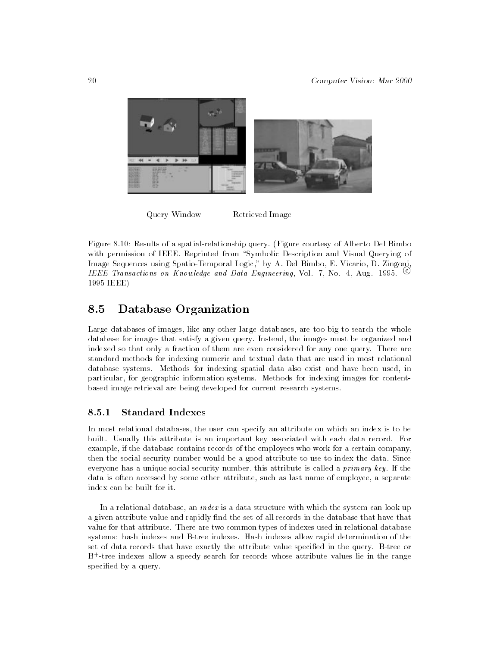

Query Window Retrieved Image

Figure 8.10: Results of a spatial-relationship query. (Figure courtesy of Alberto Del Bimbo with permission of IEEE. Reprinted from "Symbolic Description and Visual Querying of Image Sequences using Spatio-Temporal Logic," by A. Del Bimbo, E. Vicario, D. Zingoni, IEEE Transactions on Knowledge and Data Engineering, Vol. 7, No. 4, Aug. 1995.  $\heartsuit$ 1995 IEEE)

### 8.5Database Organization

Large databases of images, like any other large databases, are too big to search the whole database for images that satisfy a given query. Instead, the images must be organized and indexed so that only a fraction of them are even considered for any one query. There are standard methods for indexing numeric and textual data that are used in most relational database systems. Methods for indexing spatial data also exist and have been used, in particular, for geographic information systems. Methods for indexing images for contentbased image retrieval are being developed for current research systems.

#### 8.5.1Standard Indexes

In most relational databases, the user can specify an attribute on which an index is to be built. Usually this attribute is an important key associated with each data record. For example, if the database contains records of the employees who work for a certain company, then the social security number would be a good attribute to use to index the data. Since everyone has a unique social security number, this attribute is called a *primary key*. If the data is often accessed by some other attribute, such as last name of employee, a separate index can be built for it.

In a relational database, an *index* is a data structure with which the system can look up a given attribute value and rapidly find the set of all records in the database that have that value for that attribute. There are two common types of indexes used in relational database systems: hash indexes and B-tree indexes. Hash indexes allow rapid determination of the set of data records that have exactly the attribute value specied in the query. B-tree or B+ -tree indexes allow a speedy search for records whose attribute values lie in the range specified by a query.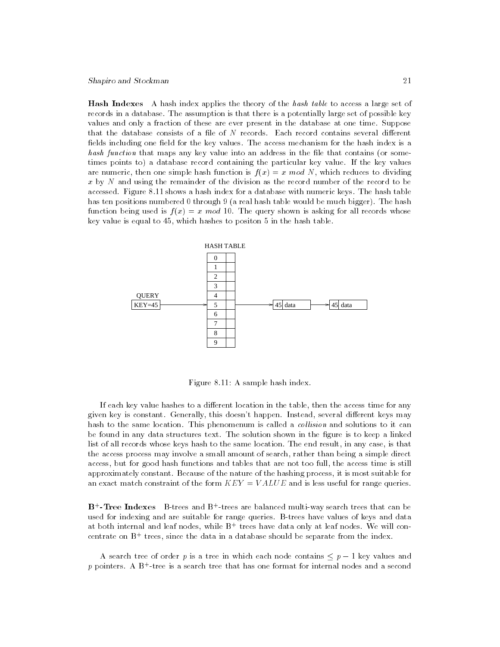Shapiro and Stockman 21

**Hash Indexes** A hash index applies the theory of the hash table to access a large set of records in a database. The assumption is that there is a potentially large set of possible key values and only a fraction of these are ever present in the database at one time. Suppose that the database consists of a file of  $N$  records. Each record contains several different fields including one field for the key values. The access mechanism for the hash index is a hash function that maps any key value into an address in the file that contains (or sometimes points to) a database record containing the particular key value. If the key values are numeric, then one simple hash function is  $f(x) = x \mod N$ , which reduces to dividing x by  $N$  and using the remainder of the division as the record number of the record to be accessed. Figure 8.11 shows a hash index for a database with numeric keys. The hash table has ten positions numbered 0 through 9 (a real hash table would be much bigger). The hash function being used is  $f(x) = x \mod 10$ . The query shown is asking for all records whose key value is equal to 45, which hashes to positon 5 in the hash table.



Figure 8.11: A sample hash index.

If each key value hashes to a different location in the table, then the access time for any given key is constant. Generally, this doesn't happen. Instead, several different keys may hash to the same location. This phenomenum is called a *collision* and solutions to it can be found in any data structures text. The solution shown in the figure is to keep a linked list of all records whose keys hash to the same location. The end result, in any case, is that the access process may involve a small amount of search, rather than being a simple direct access, but for good hash functions and tables that are not too full, the access time is still approximately constant. Because of the nature of the hashing process, it is most suitable for an exact match constraint of the form  $KEY = VALUE$  and is less useful for range queries.

**D - Iree Indexes** D-trees and D <sup>-</sup> trees are balanced multi-way search trees that can be used for indexing and are suitable for range queries. B-trees have values of keys and data at both internal and leaf nodes, while  $\mathtt{D}^+$  trees have data only at leaf nodes. We will concentrate on B+ trees, since the data in a database should be separate from the index.

A search tree of order p is a tree in which each node contains  $\leq p-1$  key values and p pointers. A  $B^+$ -tree is a search tree that has one format for internal nodes and a second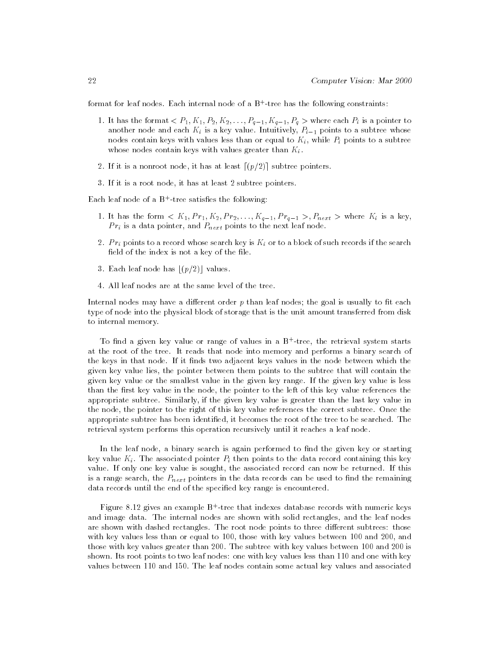format for leaf nodes. Each internal node of a B+ -tree has the following constraints:

- 1. It has the format  $\langle P_1, K_1, P_2, K_2, \ldots, P_{q-1}, K_{q-1}, P_q \rangle$  where each  $P_i$  is a pointer to another node and each Ki is a key value. Intuitively, Pi1 points to a subtree whose nodes contain keys with values less than or equal to Ki, while Pi points to a subtree whose nodes contain keys with values greater than  $K_i$ .
- 2. If it is a nonroot node, it has at least  $[(p/2)]$  subtree pointers.
- 3. If it is a root node, it has at least 2 subtree pointers.

Each leaf node of a B+ -tree satises the following:

- 1. It has the form  $K_1, Pr_1, K_2, Pr_2, \ldots, K_{q-1}, Pr_{q-1} >, P_{next} >$  where  $K_i$  is a key, P ri is a data pointer, and Pnext points to the next leaf node.
- $2.$  P rigorous search key is kin or to a block of such records if the search records if the search records if the search  $k$ field of the index is not a key of the file.
- 3. Each leaf node has  $[(p/2)]$  values.
- 4. All leaf nodes are at the same level of the tree.

Internal nodes may have a different order  $p$  than leaf nodes; the goal is usually to fit each type of node into the physical block of storage that is the unit amount transferred from disk to internal memory.

To nd a given key value or range of values in a B<sup>+</sup> -tree, the retrieval system starts at the root of the tree. It reads that node into memory and performs a binary search of the keys in that node. If it finds two adjacent keys values in the node between which the given key value lies, the pointer between them points to the subtree that will contain the given key value or the smallest value in the given key range. If the given key value is less than the first key value in the node, the pointer to the left of this key value references the appropriate subtree. Similarly, if the given key value is greater than the last key value in the node, the pointer to the right of this key value references the correct subtree. Once the appropriate subtree has been identied, it becomes the root of the tree to be searched. The retrieval system performs this operation recursively until it reaches a leaf node.

In the leaf node, a binary search is again performed to find the given key or starting key value Ki . The associated points to point points to the data record containing this key value. If only one key value is sought, the associated record can now be returned. If this is a range search, the Pnext pointers in the data records in the data records can be used to  $\Omega$ data records until the end of the specied key range is encountered.

Figure 8.12 gives an example B+ -tree that indexes database records with numeric keys and image data. The internal nodes are shown with solid rectangles, and the leaf nodes are shown with dashed rectangles. The root node points to three different subtrees: those with key values less than or equal to 100, those with key values between 100 and 200, and those with key values greater than 200. The subtree with key values between 100 and 200 is shown. Its root points to two leaf nodes: one with key values less than 110 and one with key values between 110 and 150. The leaf nodes contain some actual key values and associated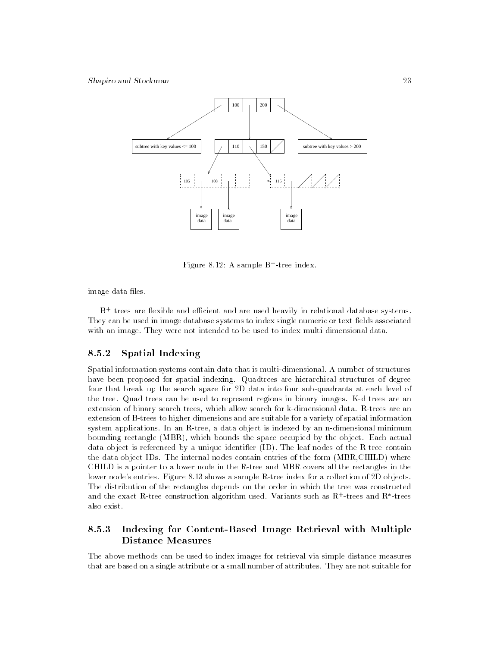

Figure 8.12: A sample B+ -tree index.

image data files.

B+ trees are 
exible and ecient and are used heavily in relational database systems. They can be used in image database systems to index single numeric or text fields associated with an image. They were not intended to be used to index multi-dimensional data.

#### $8.5.2$ Spatial Indexing

Spatial information systems contain data that is multi-dimensional. A number of structures have been proposed for spatial indexing. Quadtrees are hierarchical structures of degree four that break up the search space for 2D data into four sub-quadrants at each level of the tree. Quad trees can be used to represent regions in binary images. K-d trees are an extension of binary search trees, which allow search for k-dimensional data. R-trees are an extension of B-trees to higher dimensions and are suitable for a variety of spatial information system applications. In an R-tree, a data object is indexed by an n-dimensional minimum bounding rectangle (MBR), which bounds the space occupied by the object. Each actual data object is referenced by a unique identier (ID). The leaf nodes of the R-tree contain the data object IDs. The internal nodes contain entries of the form (MBR,CHILD) where CHILD is a pointer to a lower node in the R-tree and MBR covers all the rectangles in the lower node's entries. Figure 8.13 shows a sample R-tree index for a collection of 2D objects. The distribution of the rectangles depends on the order in which the tree was constructed and the exact K-tree construction algorithm used. Variants such as K+-trees and K+trees – also exist.

### 8.5.3 Indexing for Content-Based Image Retrieval with Multiple Distance Measures

The above methods can be used to index images for retrieval via simple distance measures that are based on a single attribute or a small number of attributes. They are not suitable for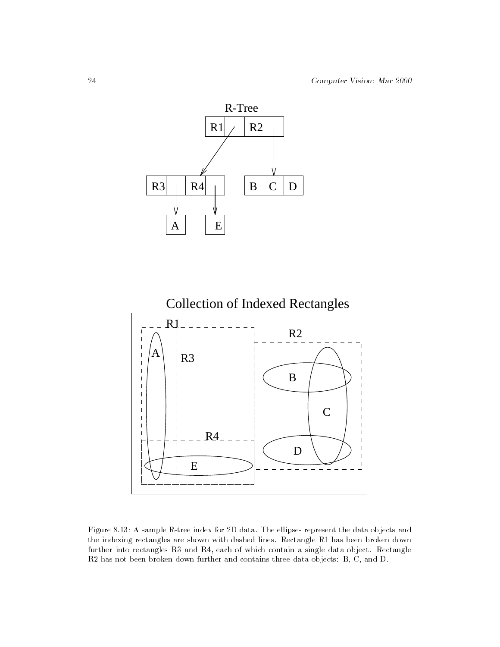



Figure 8.13: A sample R-tree index for 2D data. The ellipses represent the data objects and the indexing rectangles are shown with dashed lines. Rectangle R1 has been broken down further into rectangles R3 and R4, each of which contain a single data object. Rectangle R2 has not been broken down further and contains three data objects: B, C, and D.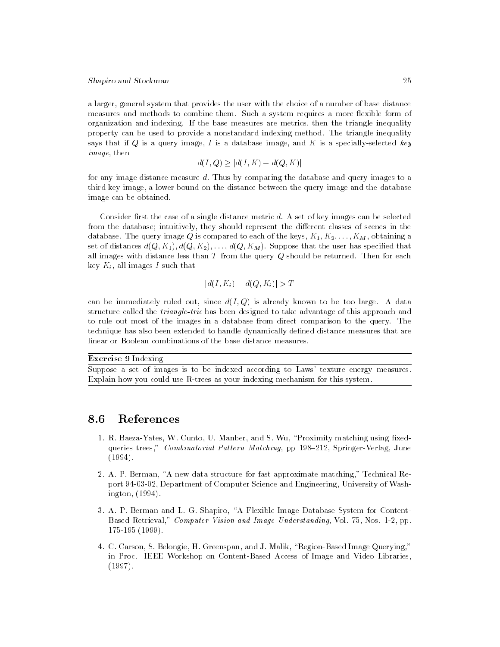## Shapiro and Stockman 25

a larger, general system that provides the user with the choice of a number of base distance measures and methods to combine them. Such a system requires a more flexible form of organization and indexing. If the base measures are metrics, then the triangle inequality property can be used to provide a nonstandard indexing method. The triangle inequality says that if Q is a query image, I is a database image, and K is a specially-selected key image, then

$$
d(I, Q) \ge |d(I, K) - d(Q, K)|
$$

d(x, x) =  $\vert \psi(x) \rangle$  =  $\vert \psi(x) \rangle$ <br>ed. Thus by comparing the dat for any image distance measure d. Thus by comparing the database and query images to a third key image, a lower bound on the distance between the query image and the database image can be obtained.

Consider first the case of a single distance metric  $d$ . A set of key images can be selected from the database; intuitively, they should represent the different classes of scenes in the database. The query image Q is compared to each of the keys,  $K_1, K_2, \ldots, K_M$ , obtaining a set of distances  $d(Q, K_1), d(Q, K_2), \ldots, d(Q, K_M)$ . Suppose that the user has specified that all images with distance less than  $T$  from the query  $Q$  should be returned. Then for each key  $K_i$ , all images I such that

$$
|d(I, K_i) - d(Q, K_i)| > T
$$

can be immediately ruled out, since  $d(I, Q)$  is already known to be too large. A data structure called the triangle-trie has been designed to take advantage of this approach and to rule out most of the images in a database from direct comparison to the query. The technique has also been extended to handle dynamically defined distance measures that are linear or Boolean combinations of the base distance measures.

 $E$ xercise  $\sigma$  indexing

Suppose a set of images is to be indexed according to Laws' texture energy measures. Explain how you could use R-trees as your indexing mechanism for this system.

#### $\sim$  .  $\sim$ References

- 1. R. Baeza-Yates, W. Cunto, U. Manber, and S. Wu, "Proximity matching using fixedqueries trees," Combinatorial Pattern Matching, pp 198-212, Springer-Verlag, June (1994).
- 2. A. P. Berman, "A new data structure for fast approximate matching," Technical Report 94-03-02, Department of Computer Science and Engineering, University of Washington, (1994).
- 3. A. P. Berman and L. G. Shapiro, \A Flexible Image Database System for Content-Based Retrieval," Computer Vision and Image Understanding, Vol. 75, Nos. 1-2, pp. 175-195 (1999).
- 4. C. Carson, S. Belongie, H. Greenspan, and J. Malik, \Region-Based Image Querying," in Proc. IEEE Workshop on Content-Based Access of Image and Video Libraries, (1997).